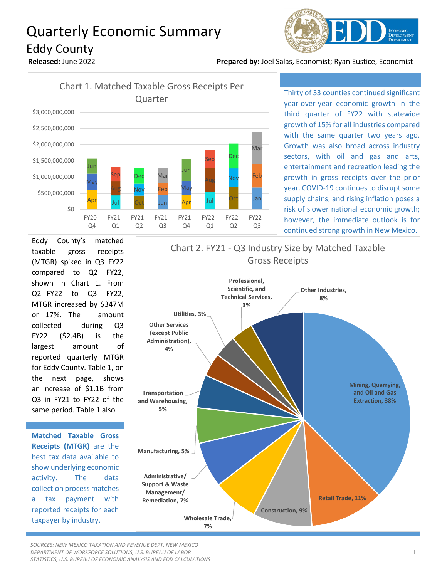## Quarterly Economic Summary Eddy County



**Released:** June 2022 **Prepared by:** Joel Salas, Economist; Ryan Eustice, Economist



Thirty of 33 counties continued significant year-over-year economic growth in the third quarter of FY22 with statewide growth of 15% for all industries compared with the same quarter two years ago. Growth was also broad across industry sectors, with oil and gas and arts, entertainment and recreation leading the growth in gross receipts over the prior year. COVID-19 continues to disrupt some supply chains, and rising inflation poses a risk of slower national economic growth; however, the immediate outlook is for continued strong growth in New Mexico.

Eddy County's matched taxable gross receipts (MTGR) spiked in Q3 FY22 compared to Q2 FY22, shown in Chart 1. From Q2 FY22 to Q3 FY22, MTGR increased by \$347M or 17%. The amount collected during Q3 FY22 (\$2.4B) is the largest amount of reported quarterly MTGR for Eddy County. Table 1, on the next page, shows an increase of \$1.1B from Q3 in FY21 to FY22 of the same period. Table 1 also

**Matched Taxable Gross Receipts (MTGR)** are the best tax data available to show underlying economic activity. The data collection process matches a tax payment with reported receipts for each taxpayer by industry.



*SOURCES: NEW MEXICO TAXATION AND REVENUE DEPT, NEW MEXICO DEPARTMENT OF WORKFORCE SOLUTIONS, U.S. BUREAU OF LABOR STATISTICS, U.S. BUREAU OF ECONOMIC ANALYSIS AND EDD CALCULATIONS*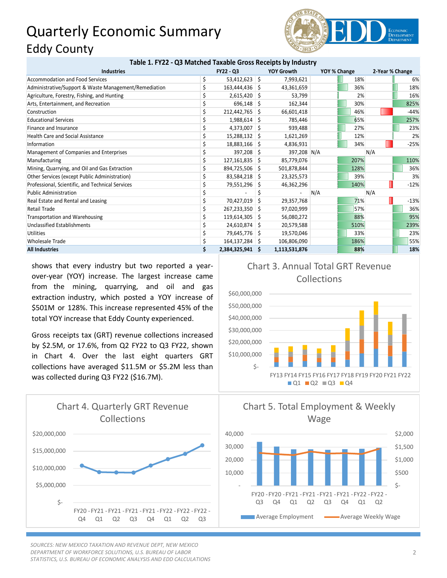## Quarterly Economic Summary Eddy County



|  | Table 1. FY22 - Q3 Matched Taxable Gross Receipts by Industry |  |  |
|--|---------------------------------------------------------------|--|--|
|--|---------------------------------------------------------------|--|--|

| <b>Industries</b>                                     |  | <b>FY22 - Q3</b> |    | <b>YOY Growth</b> | YOY % Change |      | 2-Year % Change |        |
|-------------------------------------------------------|--|------------------|----|-------------------|--------------|------|-----------------|--------|
| Accommodation and Food Services                       |  | 53,412,623 \$    |    | 7,993,621         |              | 18%  |                 | 6%     |
| Administrative/Support & Waste Management/Remediation |  | 163,444,436 \$   |    | 43,361,659        |              | 36%  |                 | 18%    |
| Agriculture, Forestry, Fishing, and Hunting           |  | $2,615,420$ \$   |    | 53,799            |              | 2%   |                 | 16%    |
| Arts, Entertainment, and Recreation                   |  | $696,148$ \$     |    | 162,344           |              | 30%  |                 | 825%   |
| Construction                                          |  | 212,442,765 \$   |    | 66,601,418        |              | 46%  |                 | $-44%$ |
| <b>Educational Services</b>                           |  | $1,988,614$ \$   |    | 785,446           |              | 65%  |                 | 257%   |
| Finance and Insurance                                 |  | $4,373,007$ \$   |    | 939,488           |              | 27%  |                 | 23%    |
| Health Care and Social Assistance                     |  | 15,288,132 \$    |    | 1,621,269         |              | 12%  |                 | 2%     |
| Information                                           |  | 18,883,166 \$    |    | 4,836,931         |              | 34%  |                 | $-25%$ |
| Management of Companies and Enterprises               |  | 397,208 \$       |    | 397,208 N/A       |              |      | N/A             |        |
| Manufacturing                                         |  | $127,161,835$ \$ |    | 85,779,076        |              | 207% |                 | 110%   |
| Mining, Quarrying, and Oil and Gas Extraction         |  | 894,725,506 \$   |    | 501,878,844       |              | 128% |                 | 36%    |
| Other Services (except Public Administration)         |  | 83,584,218 \$    |    | 23,325,573        |              | 39%  |                 | 3%     |
| Professional, Scientific, and Technical Services      |  | 79,551,296       | -S | 46,362,296        |              | 140% |                 | $-12%$ |
| <b>Public Administration</b>                          |  |                  |    |                   | N/A          |      | N/A             |        |
| Real Estate and Rental and Leasing                    |  | 70,427,019       | -S | 29,357,768        |              | 71%  |                 | $-13%$ |
| <b>Retail Trade</b>                                   |  | 267,233,350 \$   |    | 97,020,999        |              | 57%  |                 | 36%    |
| Transportation and Warehousing                        |  | 119,614,305 \$   |    | 56,080,272        |              | 88%  |                 | 95%    |
| Unclassified Establishments                           |  | 24,610,874 \$    |    | 20,579,588        |              | 510% |                 | 239%   |
| <b>Utilities</b>                                      |  | 79,645,776 \$    |    | 19,570,046        |              | 33%  |                 | 23%    |
| Wholesale Trade                                       |  | 164,137,284 \$   |    | 106,806,090       |              | 186% |                 | 55%    |
| <b>All Industries</b>                                 |  | 2,384,325,941 \$ |    | 1,113,531,876     |              | 88%  |                 | 18%    |

shows that every industry but two reported a yearover-year (YOY) increase. The largest increase came from the mining, quarrying, and oil and gas extraction industry, which posted a YOY increase of \$501M or 128%. This increase represented 45% of the total YOY increase that Eddy County experienced.

Gross receipts tax (GRT) revenue collections increased by \$2.5M, or 17.6%, from Q2 FY22 to Q3 FY22, shown in Chart 4. Over the last eight quarters GRT collections have averaged \$11.5M or \$5.2M less than was collected during Q3 FY22 (\$16.7M).



*SOURCES: NEW MEXICO TAXATION AND REVENUE DEPT, NEW MEXICO DEPARTMENT OF WORKFORCE SOLUTIONS, U.S. BUREAU OF LABOR STATISTICS, U.S. BUREAU OF ECONOMIC ANALYSIS AND EDD CALCULATIONS*